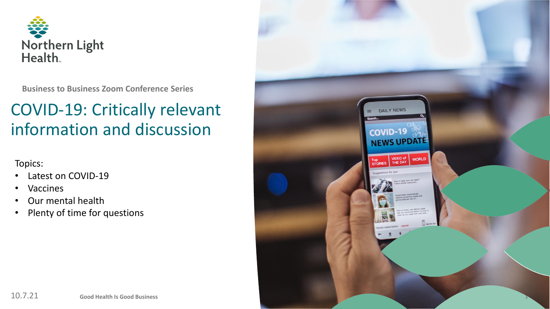

**Business to Business Zoom Conference Series**

# COVID-19: Critically relevant information and discussion

Topics:

- Latest on COVID-19
- **Vaccines**
- Our mental health
- Plenty of time for questions

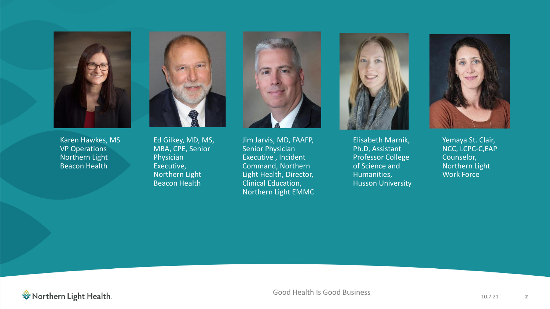

Karen Hawkes, MS **VP** Operations Northern Light Beacon Health



Ed Gilkey, MD, MS, MBA, CPE, Senior Physician Executive, Northern Light Beacon Health



Jim Jarvis, MD, FAAFP, Senior Physician Executive , Incident Command, Northern Light Health, Director, Clinical Education, Northern Light EMMC



Elisabeth Marnik, Ph.D, Assistant Professor College of Science and Humanities, Husson University



Yemaya St. Clair, NCC, LCPC-C,EAP Counselor, Northern Light Work Force

**参 Northern Light Health**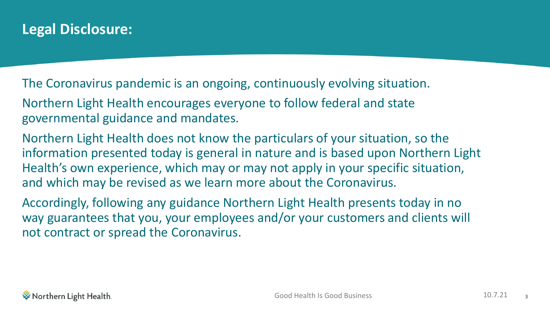## **Legal Disclosure:**

The Coronavirus pandemic is an ongoing, continuously evolving situation.

Northern Light Health encourages everyone to follow federal and state governmental guidance and mandates.

Northern Light Health does not know the particulars of your situation, so the information presented today is general in nature and is based upon Northern Light Health's own experience, which may or may not apply in your specific situation, and which may be revised as we learn more about the Coronavirus.

Accordingly, following any guidance Northern Light Health presents today in no way guarantees that you, your employees and/or your customers and clients will not contract or spread the Coronavirus.

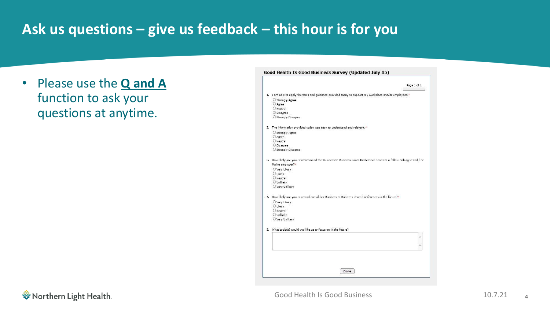## **Ask us questions – give us feedback – this hour is for you**

• Please use the **Q and A**  function to ask your questions at anytime.

#### Good Health Is Good Business Survey (Updated July 15) Page 1 of 1 1. I am able to apply the tools and guidance provided today to support my workplace and/or employees.<sup>4</sup> O Strongly Agree OAgree ONeutral O Disagree  $\bigcirc$  Strongly Disagree 2. The information provided today was easy to understand and relevant.<sup>\*</sup> O Strongly Agree O Agree Neutral ODisagree O Strongly Disagree 3. How likely are you to recommend the Business to Business Zoom Conference series to a fellow colleague and / or Maine employer?\* O Very Likely OLikely ONeutral O Unlikely O Very Unlikely 4. How likely are you to attend one of our Business to Business Zoom Conferences in the future?\* O Very Likely **O** Likely Neutral OUnlikely O Very Unlikely 5. What topic(s) would you like us to focus on in the future? Done

ैं Northern Light Health.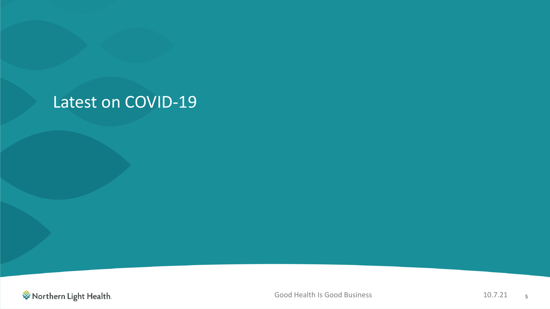# Latest on COVID-19

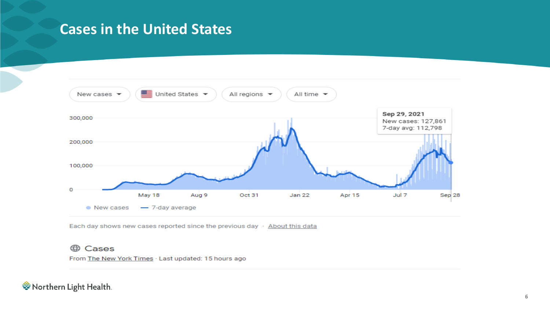## **Cases in the United States**



Each day shows new cases reported since the previous day · About this data

#### **A** Cases

From The New York Times . Last updated: 15 hours ago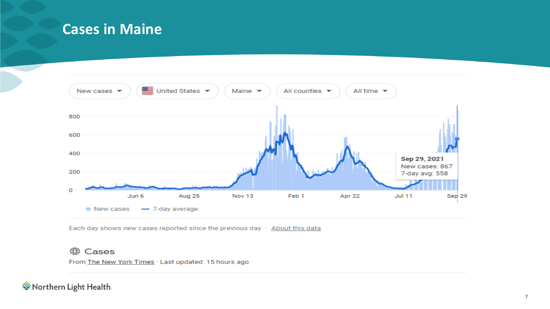## **Cases in Maine**



Each day shows new cases reported since the previous day  $\cdot$  About this data

### **A** Cases

From The New York Times . Last updated: 15 hours ago

参 Northern Light Health.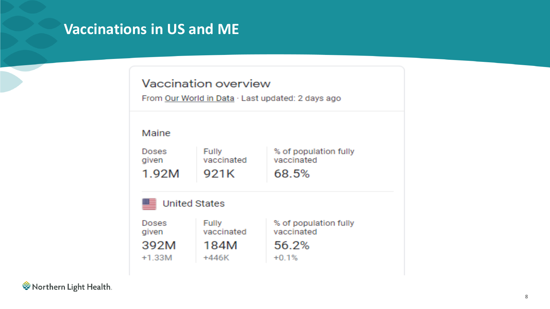## **Vaccinations in US and ME**

### Vaccination overview

From Our World in Data · Last updated: 2 days ago

### Maine

| <b>Doses</b> | Fully      | % of population fully |
|--------------|------------|-----------------------|
| given        | vaccinated | vaccinated            |
| 1.92M        | 921K       | 68.5%                 |



| Doses<br>given | <b>Fully</b><br>vaccinated | % of<br>vacc |
|----------------|----------------------------|--------------|
| 392M           | 184M                       | 56.          |
| $+1.33M$       | +446K                      | $+0.1$       |

population fully cinated

### .2%  $\%$

参 Northern Light Health.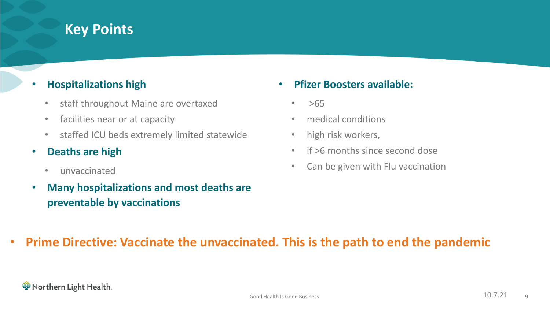## **Key Points**

### • **Hospitalizations high**

- staff throughout Maine are overtaxed
- facilities near or at capacity
- staffed ICU beds extremely limited statewide
- **Deaths are high**
	- unvaccinated
- **Many hospitalizations and most deaths are preventable by vaccinations**
- **Pfizer Boosters available:**
	- $>65$
	- medical conditions
	- high risk workers,
	- if >6 months since second dose
	- Can be given with Flu vaccination

## • **Prime Directive: Vaccinate the unvaccinated. This is the path to end the pandemic**

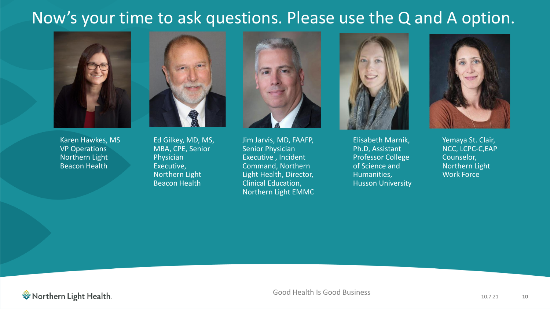# Now's your time to ask questions. Please use the Q and A option.



Karen Hawkes, MS VP Operations Northern Light Beacon Health



Ed Gilkey, MD, MS, MBA, CPE, Senior Physician Executive, Northern Light Beacon Health



Jim Jarvis, MD, FAAFP, Senior Physician Executive , Incident Command, Northern Light Health, Director, Clinical Education, Northern Light EMMC



Elisabeth Marnik, Ph.D, Assistant Professor College of Science and Humanities, Husson University



Yemaya St. Clair, NCC, LCPC-C,EAP Counselor, Northern Light Work Force

ैं Northern Light Health.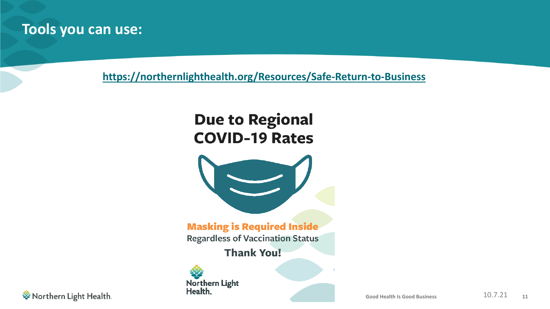## **Tools you can use:**

**<https://northernlighthealth.org/Resources/Safe-Return-to-Business>**

# **Due to Regional COVID-19 Rates**



**Masking is Required Inside** 

**Regardless of Vaccination Status** 

**Thank You!** 



**参 Northern Light Health**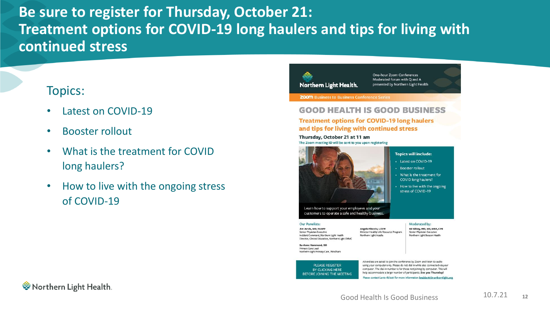## **Be sure to register for Thursday, October 21: Treatment options for COVID-19 long haulers and tips for living with continued stress**

## Topics:

- Latest on COVID-19
- Booster rollout
- What is the treatment for COVID long haulers?
- How to live with the ongoing stress of COVID-19

## Northern Light Health.

One-hour Zoom Conferences Moderated forum with Q and A presented by Northern Light Health

**ZOOM** Business to Business Conference Series

#### **GOOD HEALTH IS GOOD BUSINESS**

#### **Treatment options for COVID-19 long haulers** and tips for living with continued stress

#### Thursday, October 21 at 11 am The Zoom meeting ID will be sent to you upon registering



#### **Topics will include:**

- Latest on COVID-19
- **Booster rollout**
- What is the treatment for
- How to live with the ongoing

#### Our Panelists:

Moderated by: Ed Gilkey, MD, MS, MBA, CPE Senior Physician Executive

Su-Anne Hammond, DO Primary Care Lead Northern Light Primary Care, Windham

PLEASE REGISTER

BY CLICKING HERE

BEFORE JOINING THE MEETING

Attendees are asked to join the conference by Zoom and listen to audio using your computer only. Please do not dial in while also connected via your computer. The dial-in number is for those not joining by computer. This will help accommodate a larger number of participants. See you Thursday!

Please contact Lanie Abbott for more information **lwabbott@northernlight.org**